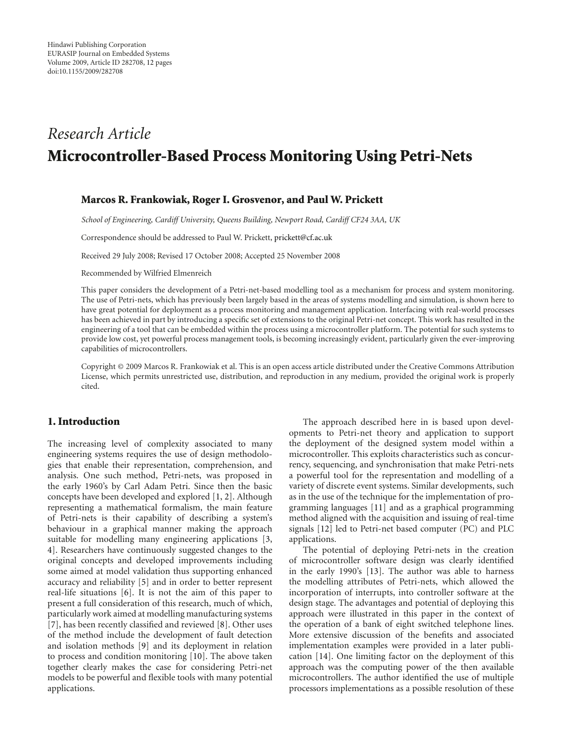# *Research Article* **Microcontroller-Based Process Monitoring Using Petri-Nets**

## **Marcos R. Frankowiak, Roger I. Grosvenor, and Paul W. Prickett**

*School of Engineering, Cardiff University, Queens Building, Newport Road, Cardiff CF24 3AA, UK*

Correspondence should be addressed to Paul W. Prickett, prickett@cf.ac.uk

Received 29 July 2008; Revised 17 October 2008; Accepted 25 November 2008

Recommended by Wilfried Elmenreich

This paper considers the development of a Petri-net-based modelling tool as a mechanism for process and system monitoring. The use of Petri-nets, which has previously been largely based in the areas of systems modelling and simulation, is shown here to have great potential for deployment as a process monitoring and management application. Interfacing with real-world processes has been achieved in part by introducing a specific set of extensions to the original Petri-net concept. This work has resulted in the engineering of a tool that can be embedded within the process using a microcontroller platform. The potential for such systems to provide low cost, yet powerful process management tools, is becoming increasingly evident, particularly given the ever-improving capabilities of microcontrollers.

Copyright © 2009 Marcos R. Frankowiak et al. This is an open access article distributed under the Creative Commons Attribution License, which permits unrestricted use, distribution, and reproduction in any medium, provided the original work is properly cited.

# **1. Introduction**

The increasing level of complexity associated to many engineering systems requires the use of design methodologies that enable their representation, comprehension, and analysis. One such method, Petri-nets, was proposed in the early 1960's by Carl Adam Petri. Since then the basic concepts have been developed and explored [1, 2]. Although representing a mathematical formalism, the main feature of Petri-nets is their capability of describing a system's behaviour in a graphical manner making the approach suitable for modelling many engineering applications [3, 4]. Researchers have continuously suggested changes to the original concepts and developed improvements including some aimed at model validation thus supporting enhanced accuracy and reliability [5] and in order to better represent real-life situations [6]. It is not the aim of this paper to present a full consideration of this research, much of which, particularly work aimed at modelling manufacturing systems [7], has been recently classified and reviewed [8]. Other uses of the method include the development of fault detection and isolation methods [9] and its deployment in relation to process and condition monitoring [10]. The above taken together clearly makes the case for considering Petri-net models to be powerful and flexible tools with many potential applications.

The approach described here in is based upon developments to Petri-net theory and application to support the deployment of the designed system model within a microcontroller. This exploits characteristics such as concurrency, sequencing, and synchronisation that make Petri-nets a powerful tool for the representation and modelling of a variety of discrete event systems. Similar developments, such as in the use of the technique for the implementation of programming languages [11] and as a graphical programming method aligned with the acquisition and issuing of real-time signals [12] led to Petri-net based computer (PC) and PLC applications.

The potential of deploying Petri-nets in the creation of microcontroller software design was clearly identified in the early 1990's [13]. The author was able to harness the modelling attributes of Petri-nets, which allowed the incorporation of interrupts, into controller software at the design stage. The advantages and potential of deploying this approach were illustrated in this paper in the context of the operation of a bank of eight switched telephone lines. More extensive discussion of the benefits and associated implementation examples were provided in a later publication [14]. One limiting factor on the deployment of this approach was the computing power of the then available microcontrollers. The author identified the use of multiple processors implementations as a possible resolution of these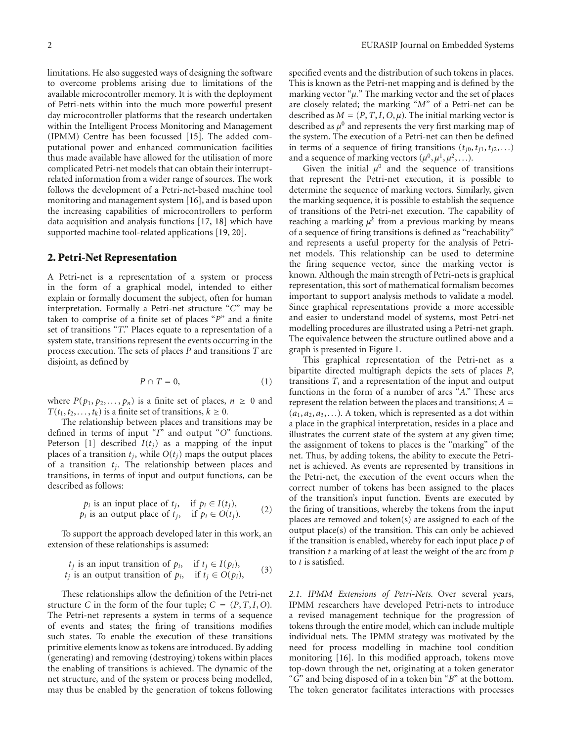limitations. He also suggested ways of designing the software to overcome problems arising due to limitations of the available microcontroller memory. It is with the deployment of Petri-nets within into the much more powerful present day microcontroller platforms that the research undertaken within the Intelligent Process Monitoring and Management (IPMM) Centre has been focussed [15]. The added computational power and enhanced communication facilities thus made available have allowed for the utilisation of more complicated Petri-net models that can obtain their interruptrelated information from a wider range of sources. The work follows the development of a Petri-net-based machine tool monitoring and management system [16], and is based upon the increasing capabilities of microcontrollers to perform data acquisition and analysis functions [17, 18] which have supported machine tool-related applications [19, 20].

#### **2. Petri-Net Representation**

A Petri-net is a representation of a system or process in the form of a graphical model, intended to either explain or formally document the subject, often for human interpretation. Formally a Petri-net structure "*C*" may be taken to comprise of a finite set of places "*P*" and a finite set of transitions "*T*." Places equate to a representation of a system state, transitions represent the events occurring in the process execution. The sets of places *P* and transitions *T* are disjoint, as defined by

$$
P \cap T = 0,\tag{1}
$$

where  $P(p_1, p_2, \ldots, p_n)$  is a finite set of places,  $n \geq 0$  and  $T(t_1, t_2, \ldots, t_k)$  is a finite set of transitions,  $k \geq 0$ .

The relationship between places and transitions may be defined in terms of input "*I*" and output "*O*" functions. Peterson [1] described  $I(t_i)$  as a mapping of the input places of a transition  $t_i$ , while  $O(t_i)$  maps the output places of a transition *tj.* The relationship between places and transitions, in terms of input and output functions, can be described as follows:

$$
p_i
$$
 is an input place of  $t_j$ , if  $p_i \in I(t_j)$ ,  
\n $p_i$  is an output place of  $t_j$ , if  $p_i \in O(t_j)$ . (2)

To support the approach developed later in this work, an extension of these relationships is assumed:

*t<sub>j</sub>* is an input transition of *p<sub>i</sub>*, if *t<sub>j</sub>* 
$$
\in
$$
 *I*(*p<sub>i</sub>*),  
*t<sub>j</sub>* is an output transition of *p<sub>i</sub>*, if *t<sub>j</sub>*  $\in$  O(*p<sub>i</sub>*), (3)

These relationships allow the definition of the Petri-net structure *C* in the form of the four tuple;  $C = (P, T, I, O)$ . The Petri-net represents a system in terms of a sequence of events and states; the firing of transitions modifies such states. To enable the execution of these transitions primitive elements know as tokens are introduced. By adding (generating) and removing (destroying) tokens within places the enabling of transitions is achieved. The dynamic of the net structure, and of the system or process being modelled, may thus be enabled by the generation of tokens following

specified events and the distribution of such tokens in places. This is known as the Petri-net mapping and is defined by the marking vector "*μ.*" The marking vector and the set of places are closely related; the marking "*M*" of a Petri-net can be described as  $M = (P, T, I, O, \mu)$ . The initial marking vector is described as  $\mu^0$  and represents the very first marking map of the system. The execution of a Petri-net can then be defined in terms of a sequence of firing transitions  $(t_{i0}, t_{i1}, t_{i2}, \ldots)$ and a sequence of marking vectors  $(\mu^0, \mu^1, \mu^2, \ldots)$ .

Given the initial  $\mu^0$  and the sequence of transitions that represent the Petri-net execution, it is possible to determine the sequence of marking vectors. Similarly, given the marking sequence, it is possible to establish the sequence of transitions of the Petri-net execution. The capability of reaching a marking  $\mu^k$  from a previous marking by means of a sequence of firing transitions is defined as "reachability" and represents a useful property for the analysis of Petrinet models. This relationship can be used to determine the firing sequence vector, since the marking vector is known. Although the main strength of Petri-nets is graphical representation, this sort of mathematical formalism becomes important to support analysis methods to validate a model. Since graphical representations provide a more accessible and easier to understand model of systems, most Petri-net modelling procedures are illustrated using a Petri-net graph. The equivalence between the structure outlined above and a graph is presented in Figure 1.

This graphical representation of the Petri-net as a bipartite directed multigraph depicts the sets of places *P*, transitions *T*, and a representation of the input and output functions in the form of a number of arcs "*A*." These arcs represent the relation between the places and transitions;  $A =$  $(a_1, a_2, a_3, \ldots)$ . A token, which is represented as a dot within a place in the graphical interpretation, resides in a place and illustrates the current state of the system at any given time; the assignment of tokens to places is the "marking" of the net. Thus, by adding tokens, the ability to execute the Petrinet is achieved. As events are represented by transitions in the Petri-net, the execution of the event occurs when the correct number of tokens has been assigned to the places of the transition's input function. Events are executed by the firing of transitions, whereby the tokens from the input places are removed and token(s) are assigned to each of the output place(s) of the transition. This can only be achieved if the transition is enabled, whereby for each input place *p* of transition *t* a marking of at least the weight of the arc from *p* to *t* is satisfied.

*2.1. IPMM Extensions of Petri-Nets.* Over several years, IPMM researchers have developed Petri-nets to introduce a revised management technique for the progression of tokens through the entire model, which can include multiple individual nets. The IPMM strategy was motivated by the need for process modelling in machine tool condition monitoring [16]. In this modified approach, tokens move top-down through the net, originating at a token generator "*G*" and being disposed of in a token bin "*B*" at the bottom. The token generator facilitates interactions with processes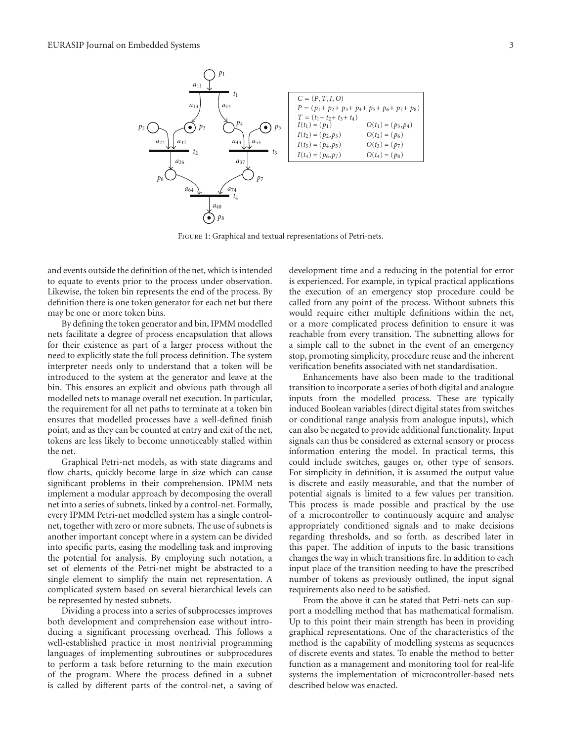

Figure 1: Graphical and textual representations of Petri-nets.

and events outside the definition of the net, which is intended to equate to events prior to the process under observation. Likewise, the token bin represents the end of the process. By definition there is one token generator for each net but there may be one or more token bins.

By defining the token generator and bin, IPMM modelled nets facilitate a degree of process encapsulation that allows for their existence as part of a larger process without the need to explicitly state the full process definition. The system interpreter needs only to understand that a token will be introduced to the system at the generator and leave at the bin. This ensures an explicit and obvious path through all modelled nets to manage overall net execution. In particular, the requirement for all net paths to terminate at a token bin ensures that modelled processes have a well-defined finish point, and as they can be counted at entry and exit of the net, tokens are less likely to become unnoticeably stalled within the net.

Graphical Petri-net models, as with state diagrams and flow charts, quickly become large in size which can cause significant problems in their comprehension. IPMM nets implement a modular approach by decomposing the overall net into a series of subnets, linked by a control-net. Formally, every IPMM Petri-net modelled system has a single controlnet, together with zero or more subnets. The use of subnets is another important concept where in a system can be divided into specific parts, easing the modelling task and improving the potential for analysis. By employing such notation, a set of elements of the Petri-net might be abstracted to a single element to simplify the main net representation. A complicated system based on several hierarchical levels can be represented by nested subnets.

Dividing a process into a series of subprocesses improves both development and comprehension ease without introducing a significant processing overhead. This follows a well-established practice in most nontrivial programming languages of implementing subroutines or subprocedures to perform a task before returning to the main execution of the program. Where the process defined in a subnet is called by different parts of the control-net, a saving of development time and a reducing in the potential for error is experienced. For example, in typical practical applications the execution of an emergency stop procedure could be called from any point of the process. Without subnets this would require either multiple definitions within the net, or a more complicated process definition to ensure it was reachable from every transition. The subnetting allows for a simple call to the subnet in the event of an emergency stop, promoting simplicity, procedure reuse and the inherent verification benefits associated with net standardisation.

Enhancements have also been made to the traditional transition to incorporate a series of both digital and analogue inputs from the modelled process. These are typically induced Boolean variables (direct digital states from switches or conditional range analysis from analogue inputs), which can also be negated to provide additional functionality. Input signals can thus be considered as external sensory or process information entering the model. In practical terms, this could include switches, gauges or, other type of sensors. For simplicity in definition, it is assumed the output value is discrete and easily measurable, and that the number of potential signals is limited to a few values per transition. This process is made possible and practical by the use of a microcontroller to continuously acquire and analyse appropriately conditioned signals and to make decisions regarding thresholds, and so forth. as described later in this paper. The addition of inputs to the basic transitions changes the way in which transitions fire. In addition to each input place of the transition needing to have the prescribed number of tokens as previously outlined, the input signal requirements also need to be satisfied.

From the above it can be stated that Petri-nets can support a modelling method that has mathematical formalism. Up to this point their main strength has been in providing graphical representations. One of the characteristics of the method is the capability of modelling systems as sequences of discrete events and states. To enable the method to better function as a management and monitoring tool for real-life systems the implementation of microcontroller-based nets described below was enacted.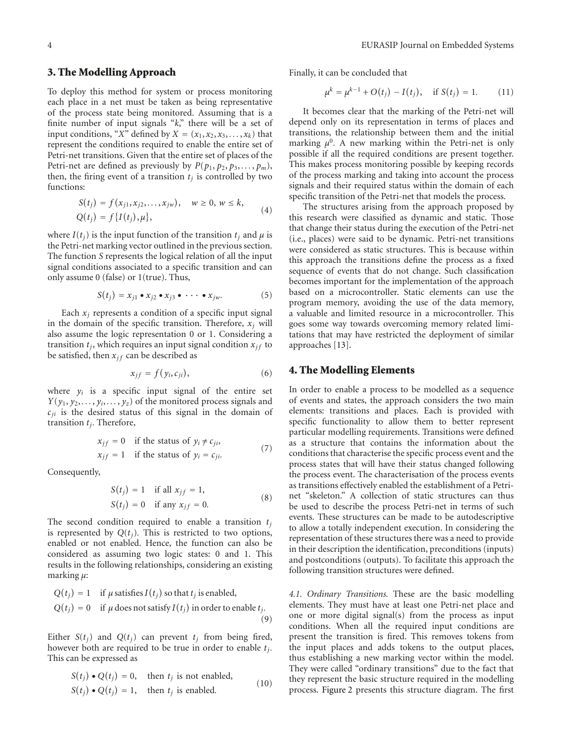To deploy this method for system or process monitoring each place in a net must be taken as being representative of the process state being monitored. Assuming that is a finite number of input signals "*k*," there will be a set of input conditions, "*X*" defined by  $X = (x_1, x_2, x_3, \dots, x_k)$  that represent the conditions required to enable the entire set of Petri-net transitions. Given that the entire set of places of the Petri-net are defined as previously by  $P(p_1, p_2, p_3, \ldots, p_m)$ , then, the firing event of a transition  $t_i$  is controlled by two functions:

$$
S(t_j) = f(x_{j1}, x_{j2},..., x_{jw}), \quad w \ge 0, w \le k,
$$
  
 
$$
Q(t_j) = f\{I(t_j), \mu\},
$$
 (4)

where  $I(t_i)$  is the input function of the transition  $t_i$  and  $\mu$  is the Petri-net marking vector outlined in the previous section. The function *S* represents the logical relation of all the input signal conditions associated to a specific transition and can only assume 0 (false) or 1(true). Thus,

$$
S(t_j) = x_{j1} \bullet x_{j2} \bullet x_{j3} \bullet \cdots \bullet x_{jw}.
$$
 (5)

Each  $x_i$  represents a condition of a specific input signal in the domain of the specific transition. Therefore,  $x_i$  will also assume the logic representation 0 or 1. Considering a transition  $t_j$ , which requires an input signal condition  $x_{if}$  to be satisfied, then  $x_{if}$  can be described as

$$
x_{jf} = f(y_i, c_{ji}), \qquad (6)
$$

where  $y_i$  is a specific input signal of the entire set  $Y(y_1, y_2, \ldots, y_i, \ldots, y_z)$  of the monitored process signals and *cji* is the desired status of this signal in the domain of transition *tj.* Therefore,

*xj f* = 0 if the status of *yi* =*/ cji*, *xj f* <sup>=</sup> 1 if the status of *yi* <sup>=</sup> *cji.* (7)

Consequently,

$$
S(tj) = 1 \quad \text{if all } xjf = 1,
$$
  
 
$$
S(tj) = 0 \quad \text{if any } xjf = 0.
$$
 (8)

The second condition required to enable a transition  $t_i$ is represented by  $Q(t_i)$ . This is restricted to two options, enabled or not enabled. Hence, the function can also be considered as assuming two logic states: 0 and 1. This results in the following relationships, considering an existing marking *μ*:

$$
Q(t_j) = 1 \quad \text{if } \mu \text{ satisfies } I(t_j) \text{ so that } t_j \text{ is enabled,}
$$
\n
$$
Q(t_j) = 0 \quad \text{if } \mu \text{ does not satisfy } I(t_j) \text{ in order to enable } t_j. \tag{9}
$$

Either  $S(t_j)$  and  $Q(t_j)$  can prevent  $t_j$  from being fired, however both are required to be true in order to enable *tj.* This can be expressed as

$$
S(t_j) \bullet Q(t_j) = 0, \quad \text{then } t_j \text{ is not enabled,}
$$
  

$$
S(t_j) \bullet Q(t_j) = 1, \quad \text{then } t_j \text{ is enabled.}
$$
 (10)

Finally, it can be concluded that

$$
\mu^{k} = \mu^{k-1} + O(t_j) - I(t_j), \quad \text{if } S(t_j) = 1. \tag{11}
$$

It becomes clear that the marking of the Petri-net will depend only on its representation in terms of places and transitions, the relationship between them and the initial marking  $\mu^0$ . A new marking within the Petri-net is only possible if all the required conditions are present together. This makes process monitoring possible by keeping records of the process marking and taking into account the process signals and their required status within the domain of each specific transition of the Petri-net that models the process.

The structures arising from the approach proposed by this research were classified as dynamic and static. Those that change their status during the execution of the Petri-net (i.e., places) were said to be dynamic. Petri-net transitions were considered as static structures. This is because within this approach the transitions define the process as a fixed sequence of events that do not change. Such classification becomes important for the implementation of the approach based on a microcontroller. Static elements can use the program memory, avoiding the use of the data memory, a valuable and limited resource in a microcontroller. This goes some way towards overcoming memory related limitations that may have restricted the deployment of similar approaches [13].

#### **4. The Modelling Elements**

In order to enable a process to be modelled as a sequence of events and states, the approach considers the two main elements: transitions and places. Each is provided with specific functionality to allow them to better represent particular modelling requirements. Transitions were defined as a structure that contains the information about the conditions that characterise the specific process event and the process states that will have their status changed following the process event. The characterisation of the process events as transitions effectively enabled the establishment of a Petrinet "skeleton." A collection of static structures can thus be used to describe the process Petri-net in terms of such events. These structures can be made to be autodescriptive to allow a totally independent execution. In considering the representation of these structures there was a need to provide in their description the identification, preconditions (inputs) and postconditions (outputs). To facilitate this approach the following transition structures were defined.

*4.1. Ordinary Transitions.* These are the basic modelling elements. They must have at least one Petri-net place and one or more digital signal(s) from the process as input conditions. When all the required input conditions are present the transition is fired. This removes tokens from the input places and adds tokens to the output places, thus establishing a new marking vector within the model. They were called "ordinary transitions" due to the fact that they represent the basic structure required in the modelling process. Figure 2 presents this structure diagram. The first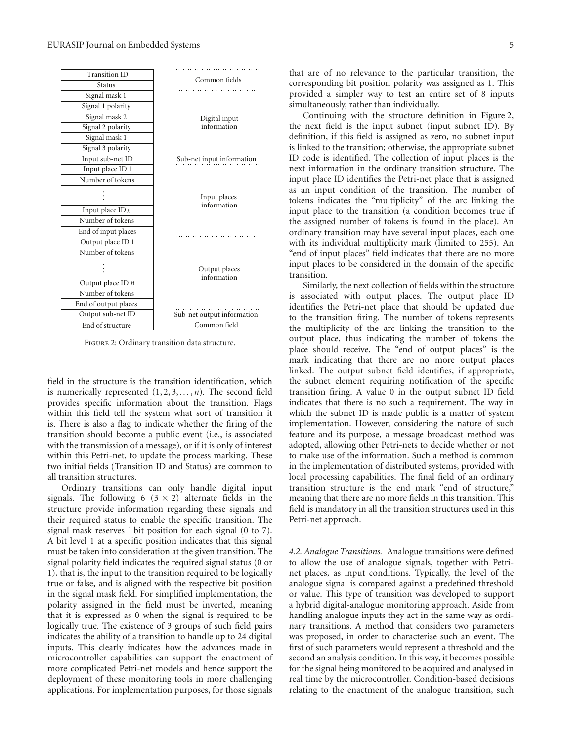

Figure 2: Ordinary transition data structure.

field in the structure is the transition identification, which is numerically represented  $(1, 2, 3, \ldots, n)$ . The second field provides specific information about the transition. Flags within this field tell the system what sort of transition it is. There is also a flag to indicate whether the firing of the transition should become a public event (i.e., is associated with the transmission of a message), or if it is only of interest within this Petri-net, to update the process marking. These two initial fields (Transition ID and Status) are common to all transition structures.

Ordinary transitions can only handle digital input signals. The following 6 ( $3 \times 2$ ) alternate fields in the structure provide information regarding these signals and their required status to enable the specific transition. The signal mask reserves 1 bit position for each signal (0 to 7). A bit level 1 at a specific position indicates that this signal must be taken into consideration at the given transition. The signal polarity field indicates the required signal status (0 or 1), that is, the input to the transition required to be logically true or false, and is aligned with the respective bit position in the signal mask field. For simplified implementation, the polarity assigned in the field must be inverted, meaning that it is expressed as 0 when the signal is required to be logically true. The existence of 3 groups of such field pairs indicates the ability of a transition to handle up to 24 digital inputs. This clearly indicates how the advances made in microcontroller capabilities can support the enactment of more complicated Petri-net models and hence support the deployment of these monitoring tools in more challenging applications. For implementation purposes, for those signals

that are of no relevance to the particular transition, the corresponding bit position polarity was assigned as 1. This provided a simpler way to test an entire set of 8 inputs simultaneously, rather than individually.

Continuing with the structure definition in Figure 2, the next field is the input subnet (input subnet ID). By definition, if this field is assigned as zero, no subnet input is linked to the transition; otherwise, the appropriate subnet ID code is identified. The collection of input places is the next information in the ordinary transition structure. The input place ID identifies the Petri-net place that is assigned as an input condition of the transition. The number of tokens indicates the "multiplicity" of the arc linking the input place to the transition (a condition becomes true if the assigned number of tokens is found in the place). An ordinary transition may have several input places, each one with its individual multiplicity mark (limited to 255). An "end of input places" field indicates that there are no more input places to be considered in the domain of the specific transition.

Similarly, the next collection of fields within the structure is associated with output places. The output place ID identifies the Petri-net place that should be updated due to the transition firing. The number of tokens represents the multiplicity of the arc linking the transition to the output place, thus indicating the number of tokens the place should receive. The "end of output places" is the mark indicating that there are no more output places linked. The output subnet field identifies, if appropriate, the subnet element requiring notification of the specific transition firing. A value 0 in the output subnet ID field indicates that there is no such a requirement. The way in which the subnet ID is made public is a matter of system implementation. However, considering the nature of such feature and its purpose, a message broadcast method was adopted, allowing other Petri-nets to decide whether or not to make use of the information. Such a method is common in the implementation of distributed systems, provided with local processing capabilities. The final field of an ordinary transition structure is the end mark "end of structure," meaning that there are no more fields in this transition. This field is mandatory in all the transition structures used in this Petri-net approach.

*4.2. Analogue Transitions.* Analogue transitions were defined to allow the use of analogue signals, together with Petrinet places, as input conditions. Typically, the level of the analogue signal is compared against a predefined threshold or value. This type of transition was developed to support a hybrid digital-analogue monitoring approach. Aside from handling analogue inputs they act in the same way as ordinary transitions. A method that considers two parameters was proposed, in order to characterise such an event. The first of such parameters would represent a threshold and the second an analysis condition. In this way, it becomes possible for the signal being monitored to be acquired and analysed in real time by the microcontroller. Condition-based decisions relating to the enactment of the analogue transition, such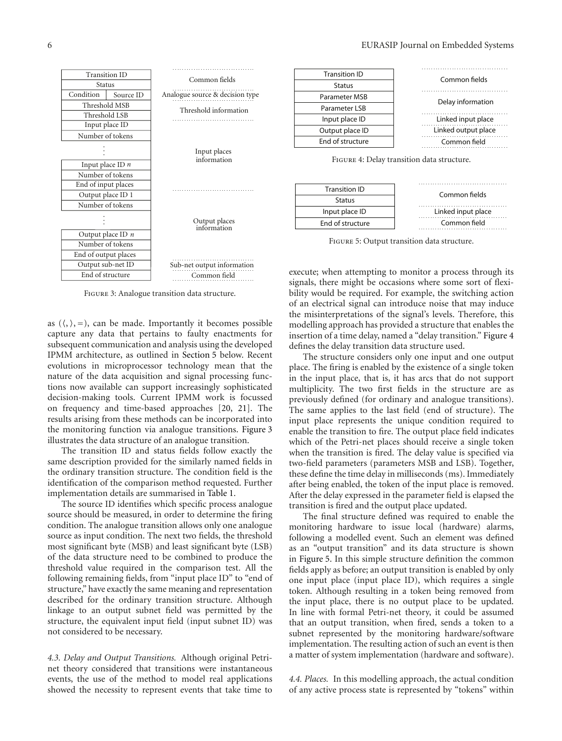

Figure 3: Analogue transition data structure.

as  $(\langle, \rangle, =)$ , can be made. Importantly it becomes possible capture any data that pertains to faulty enactments for subsequent communication and analysis using the developed IPMM architecture, as outlined in Section 5 below. Recent evolutions in microprocessor technology mean that the nature of the data acquisition and signal processing functions now available can support increasingly sophisticated decision-making tools. Current IPMM work is focussed on frequency and time-based approaches [20, 21]. The results arising from these methods can be incorporated into the monitoring function via analogue transitions. Figure 3 illustrates the data structure of an analogue transition.

The transition ID and status fields follow exactly the same description provided for the similarly named fields in the ordinary transition structure. The condition field is the identification of the comparison method requested. Further implementation details are summarised in Table 1.

The source ID identifies which specific process analogue source should be measured, in order to determine the firing condition. The analogue transition allows only one analogue source as input condition. The next two fields, the threshold most significant byte (MSB) and least significant byte (LSB) of the data structure need to be combined to produce the threshold value required in the comparison test. All the following remaining fields, from "input place ID" to "end of structure," have exactly the same meaning and representation described for the ordinary transition structure. Although linkage to an output subnet field was permitted by the structure, the equivalent input field (input subnet ID) was not considered to be necessary.

*4.3. Delay and Output Transitions.* Although original Petrinet theory considered that transitions were instantaneous events, the use of the method to model real applications showed the necessity to represent events that take time to

| <b>Transition ID</b> | Common fields       |  |
|----------------------|---------------------|--|
| <b>Status</b>        |                     |  |
| Parameter MSB        | Delay information   |  |
| Parameter LSB        |                     |  |
| Input place ID       | Linked input place  |  |
| Output place ID      | Linked output place |  |
| End of structure     | Common field        |  |

Figure 4: Delay transition data structure.

| <b>Transition ID</b> | Common fields      |  |
|----------------------|--------------------|--|
| <b>Status</b>        |                    |  |
| Input place ID       | Linked input place |  |
| End of structure     | Common field       |  |
|                      |                    |  |

Figure 5: Output transition data structure.

execute; when attempting to monitor a process through its signals, there might be occasions where some sort of flexibility would be required. For example, the switching action of an electrical signal can introduce noise that may induce the misinterpretations of the signal's levels. Therefore, this modelling approach has provided a structure that enables the insertion of a time delay, named a "delay transition." Figure 4 defines the delay transition data structure used.

The structure considers only one input and one output place. The firing is enabled by the existence of a single token in the input place, that is, it has arcs that do not support multiplicity. The two first fields in the structure are as previously defined (for ordinary and analogue transitions). The same applies to the last field (end of structure). The input place represents the unique condition required to enable the transition to fire. The output place field indicates which of the Petri-net places should receive a single token when the transition is fired. The delay value is specified via two-field parameters (parameters MSB and LSB). Together, these define the time delay in milliseconds (ms). Immediately after being enabled, the token of the input place is removed. After the delay expressed in the parameter field is elapsed the transition is fired and the output place updated.

The final structure defined was required to enable the monitoring hardware to issue local (hardware) alarms, following a modelled event. Such an element was defined as an "output transition" and its data structure is shown in Figure 5. In this simple structure definition the common fields apply as before; an output transition is enabled by only one input place (input place ID), which requires a single token. Although resulting in a token being removed from the input place, there is no output place to be updated. In line with formal Petri-net theory, it could be assumed that an output transition, when fired, sends a token to a subnet represented by the monitoring hardware/software implementation. The resulting action of such an event is then a matter of system implementation (hardware and software).

*4.4. Places.* In this modelling approach, the actual condition of any active process state is represented by "tokens" within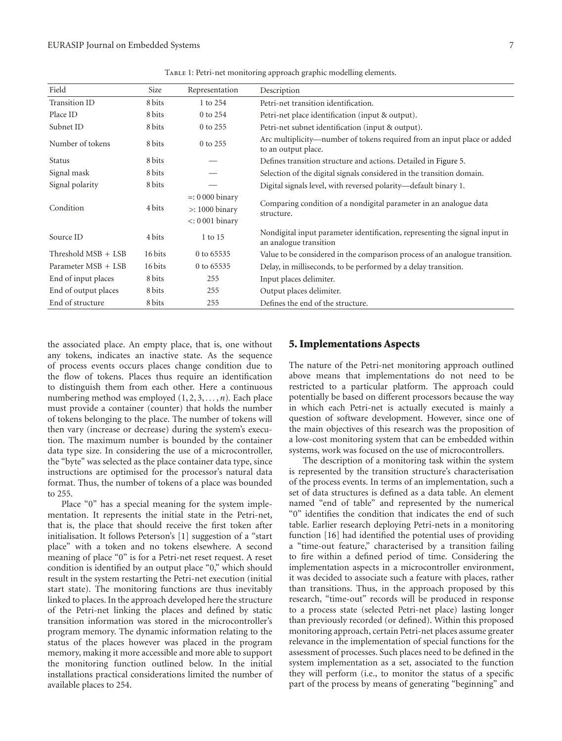| Field                | Size    | Representation                                                  | Description                                                                                           |  |
|----------------------|---------|-----------------------------------------------------------------|-------------------------------------------------------------------------------------------------------|--|
| <b>Transition ID</b> | 8 bits  | 1 to 254                                                        | Petri-net transition identification.                                                                  |  |
| Place ID             | 8 bits  | 0 to 254                                                        | Petri-net place identification (input & output).                                                      |  |
| Subnet ID            | 8 bits  | 0 to 255                                                        | Petri-net subnet identification (input & output).                                                     |  |
| Number of tokens     | 8 bits  | 0 to 255                                                        | Arc multiplicity—number of tokens required from an input place or added<br>to an output place.        |  |
| <b>Status</b>        | 8 bits  |                                                                 | Defines transition structure and actions. Detailed in Figure 5.                                       |  |
| Signal mask          | 8 bits  |                                                                 | Selection of the digital signals considered in the transition domain.                                 |  |
| Signal polarity      | 8 bits  |                                                                 | Digital signals level, with reversed polarity—default binary 1.                                       |  |
| Condition            | 4 bits  | $= 0000 \text{ binary}$<br>$>1000$ binary<br>$<$ : 0 001 binary | Comparing condition of a nondigital parameter in an analogue data<br>structure.                       |  |
| Source ID            | 4 bits  | 1 to 15                                                         | Nondigital input parameter identification, representing the signal input in<br>an analogue transition |  |
| Threshold MSB + LSB  | 16 bits | 0 to 65535                                                      | Value to be considered in the comparison process of an analogue transition.                           |  |
| Parameter MSB + LSB  | 16 bits | 0 to 65535                                                      | Delay, in milliseconds, to be performed by a delay transition.                                        |  |
| End of input places  | 8 bits  | 255                                                             | Input places delimiter.                                                                               |  |
| End of output places | 8 bits  | 255                                                             | Output places delimiter.                                                                              |  |
| End of structure     | 8 bits  | 255                                                             | Defines the end of the structure.                                                                     |  |

TABLE 1: Petri-net monitoring approach graphic modelling elements.

the associated place. An empty place, that is, one without any tokens, indicates an inactive state. As the sequence of process events occurs places change condition due to the flow of tokens. Places thus require an identification to distinguish them from each other. Here a continuous numbering method was employed  $(1, 2, 3, \ldots, n)$ . Each place must provide a container (counter) that holds the number of tokens belonging to the place. The number of tokens will then vary (increase or decrease) during the system's execution. The maximum number is bounded by the container data type size. In considering the use of a microcontroller, the "byte" was selected as the place container data type, since instructions are optimised for the processor's natural data format. Thus, the number of tokens of a place was bounded to 255.

Place "0" has a special meaning for the system implementation. It represents the initial state in the Petri-net, that is, the place that should receive the first token after initialisation. It follows Peterson's [1] suggestion of a "start place" with a token and no tokens elsewhere. A second meaning of place "0" is for a Petri-net reset request. A reset condition is identified by an output place "0," which should result in the system restarting the Petri-net execution (initial start state). The monitoring functions are thus inevitably linked to places. In the approach developed here the structure of the Petri-net linking the places and defined by static transition information was stored in the microcontroller's program memory. The dynamic information relating to the status of the places however was placed in the program memory, making it more accessible and more able to support the monitoring function outlined below. In the initial installations practical considerations limited the number of available places to 254.

# **5. Implementations Aspects**

The nature of the Petri-net monitoring approach outlined above means that implementations do not need to be restricted to a particular platform. The approach could potentially be based on different processors because the way in which each Petri-net is actually executed is mainly a question of software development. However, since one of the main objectives of this research was the proposition of a low-cost monitoring system that can be embedded within systems, work was focused on the use of microcontrollers.

The description of a monitoring task within the system is represented by the transition structure's characterisation of the process events. In terms of an implementation, such a set of data structures is defined as a data table. An element named "end of table" and represented by the numerical "0" identifies the condition that indicates the end of such table. Earlier research deploying Petri-nets in a monitoring function [16] had identified the potential uses of providing a "time-out feature," characterised by a transition failing to fire within a defined period of time. Considering the implementation aspects in a microcontroller environment, it was decided to associate such a feature with places, rather than transitions. Thus, in the approach proposed by this research, "time-out" records will be produced in response to a process state (selected Petri-net place) lasting longer than previously recorded (or defined). Within this proposed monitoring approach, certain Petri-net places assume greater relevance in the implementation of special functions for the assessment of processes. Such places need to be defined in the system implementation as a set, associated to the function they will perform (i.e., to monitor the status of a specific part of the process by means of generating "beginning" and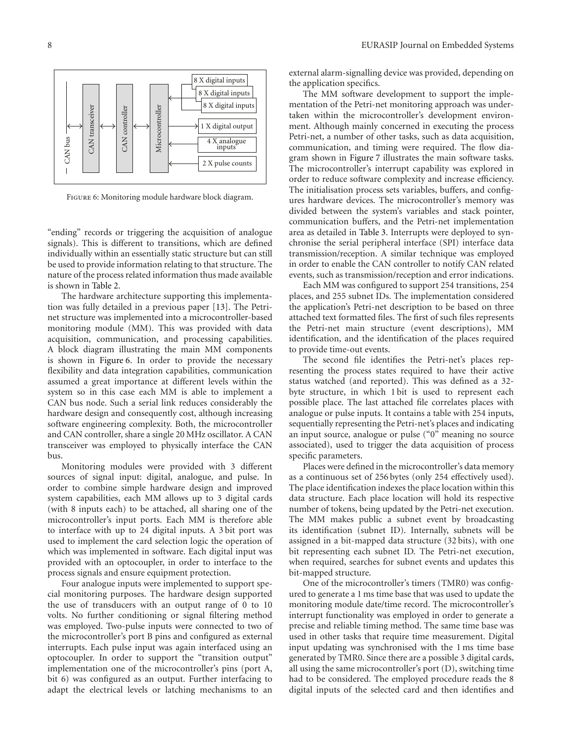

Figure 6: Monitoring module hardware block diagram.

"ending" records or triggering the acquisition of analogue signals). This is different to transitions, which are defined individually within an essentially static structure but can still be used to provide information relating to that structure. The nature of the process related information thus made available is shown in Table 2.

The hardware architecture supporting this implementation was fully detailed in a previous paper [13]. The Petrinet structure was implemented into a microcontroller-based monitoring module (MM). This was provided with data acquisition, communication, and processing capabilities. A block diagram illustrating the main MM components is shown in Figure 6. In order to provide the necessary flexibility and data integration capabilities, communication assumed a great importance at different levels within the system so in this case each MM is able to implement a CAN bus node. Such a serial link reduces considerably the hardware design and consequently cost, although increasing software engineering complexity. Both, the microcontroller and CAN controller, share a single 20 MHz oscillator. A CAN transceiver was employed to physically interface the CAN bus.

Monitoring modules were provided with 3 different sources of signal input: digital, analogue, and pulse. In order to combine simple hardware design and improved system capabilities, each MM allows up to 3 digital cards (with 8 inputs each) to be attached, all sharing one of the microcontroller's input ports. Each MM is therefore able to interface with up to 24 digital inputs. A 3 bit port was used to implement the card selection logic the operation of which was implemented in software. Each digital input was provided with an optocoupler, in order to interface to the process signals and ensure equipment protection.

Four analogue inputs were implemented to support special monitoring purposes. The hardware design supported the use of transducers with an output range of 0 to 10 volts. No further conditioning or signal filtering method was employed. Two-pulse inputs were connected to two of the microcontroller's port B pins and configured as external interrupts. Each pulse input was again interfaced using an optocoupler. In order to support the "transition output" implementation one of the microcontroller's pins (port A, bit 6) was configured as an output. Further interfacing to adapt the electrical levels or latching mechanisms to an

external alarm-signalling device was provided, depending on the application specifics.

The MM software development to support the implementation of the Petri-net monitoring approach was undertaken within the microcontroller's development environment. Although mainly concerned in executing the process Petri-net, a number of other tasks, such as data acquisition, communication, and timing were required. The flow diagram shown in Figure 7 illustrates the main software tasks. The microcontroller's interrupt capability was explored in order to reduce software complexity and increase efficiency. The initialisation process sets variables, buffers, and configures hardware devices. The microcontroller's memory was divided between the system's variables and stack pointer, communication buffers, and the Petri-net implementation area as detailed in Table 3. Interrupts were deployed to synchronise the serial peripheral interface (SPI) interface data transmission/reception. A similar technique was employed in order to enable the CAN controller to notify CAN related events, such as transmission/reception and error indications.

Each MM was configured to support 254 transitions, 254 places, and 255 subnet IDs. The implementation considered the application's Petri-net description to be based on three attached text formatted files. The first of such files represents the Petri-net main structure (event descriptions), MM identification, and the identification of the places required to provide time-out events.

The second file identifies the Petri-net's places representing the process states required to have their active status watched (and reported). This was defined as a 32 byte structure, in which 1 bit is used to represent each possible place. The last attached file correlates places with analogue or pulse inputs. It contains a table with 254 inputs, sequentially representing the Petri-net's places and indicating an input source, analogue or pulse ("0" meaning no source associated), used to trigger the data acquisition of process specific parameters.

Places were defined in the microcontroller's data memory as a continuous set of 256 bytes (only 254 effectively used). The place identification indexes the place location within this data structure. Each place location will hold its respective number of tokens, being updated by the Petri-net execution. The MM makes public a subnet event by broadcasting its identification (subnet ID). Internally, subnets will be assigned in a bit-mapped data structure (32 bits), with one bit representing each subnet ID. The Petri-net execution, when required, searches for subnet events and updates this bit-mapped structure.

One of the microcontroller's timers (TMR0) was configured to generate a 1 ms time base that was used to update the monitoring module date/time record. The microcontroller's interrupt functionality was employed in order to generate a precise and reliable timing method. The same time base was used in other tasks that require time measurement. Digital input updating was synchronised with the 1 ms time base generated by TMR0. Since there are a possible 3 digital cards, all using the same microcontroller's port (D), switching time had to be considered. The employed procedure reads the 8 digital inputs of the selected card and then identifies and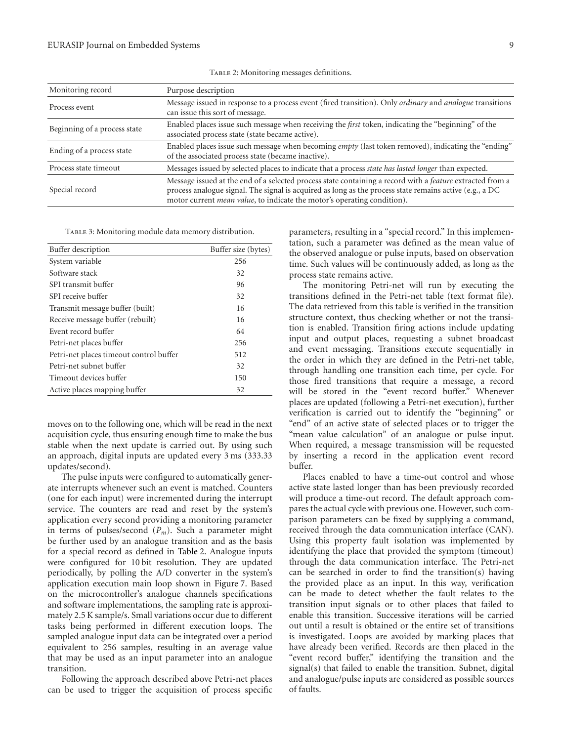| Monitoring record            | Purpose description                                                                                                                                                                                                                                                                                     |  |
|------------------------------|---------------------------------------------------------------------------------------------------------------------------------------------------------------------------------------------------------------------------------------------------------------------------------------------------------|--|
| Process event                | Message issued in response to a process event (fired transition). Only <i>ordinary</i> and <i>analogue</i> transitions<br>can issue this sort of message.                                                                                                                                               |  |
| Beginning of a process state | Enabled places issue such message when receiving the <i>first</i> token, indicating the "beginning" of the<br>associated process state (state became active).                                                                                                                                           |  |
| Ending of a process state    | Enabled places issue such message when becoming empty (last token removed), indicating the "ending"<br>of the associated process state (became inactive).                                                                                                                                               |  |
| Process state timeout        | Messages issued by selected places to indicate that a process state has lasted longer than expected.                                                                                                                                                                                                    |  |
| Special record               | Message issued at the end of a selected process state containing a record with a feature extracted from a<br>process analogue signal. The signal is acquired as long as the process state remains active (e.g., a DC<br>motor current <i>mean value</i> , to indicate the motor's operating condition). |  |

TABLE 2: Monitoring messages definitions.

TABLE 3: Monitoring module data memory distribution.

| Buffer description                      | Buffer size (bytes) |
|-----------------------------------------|---------------------|
| System variable                         | 256                 |
| Software stack                          | 32                  |
| SPI transmit buffer                     | 96                  |
| SPI receive buffer                      | 32                  |
| Transmit message buffer (built)         | 16                  |
| Receive message buffer (rebuilt)        | 16                  |
| Event record buffer                     | 64                  |
| Petri-net places buffer                 | 256                 |
| Petri-net places timeout control buffer | 512                 |
| Petri-net subnet buffer                 | 32                  |
| Timeout devices buffer                  | 150                 |
| Active places mapping buffer            | 32                  |

moves on to the following one, which will be read in the next acquisition cycle, thus ensuring enough time to make the bus stable when the next update is carried out. By using such an approach, digital inputs are updated every 3 ms (333.33 updates/second).

The pulse inputs were configured to automatically generate interrupts whenever such an event is matched. Counters (one for each input) were incremented during the interrupt service. The counters are read and reset by the system's application every second providing a monitoring parameter in terms of pulses/second (*Pm*). Such a parameter might be further used by an analogue transition and as the basis for a special record as defined in Table 2. Analogue inputs were configured for 10 bit resolution. They are updated periodically, by polling the A/D converter in the system's application execution main loop shown in Figure 7. Based on the microcontroller's analogue channels specifications and software implementations, the sampling rate is approximately 2.5 K sample/s. Small variations occur due to different tasks being performed in different execution loops. The sampled analogue input data can be integrated over a period equivalent to 256 samples, resulting in an average value that may be used as an input parameter into an analogue transition.

Following the approach described above Petri-net places can be used to trigger the acquisition of process specific parameters, resulting in a "special record." In this implementation, such a parameter was defined as the mean value of the observed analogue or pulse inputs, based on observation time. Such values will be continuously added, as long as the process state remains active.

The monitoring Petri-net will run by executing the transitions defined in the Petri-net table (text format file). The data retrieved from this table is verified in the transition structure context, thus checking whether or not the transition is enabled. Transition firing actions include updating input and output places, requesting a subnet broadcast and event messaging. Transitions execute sequentially in the order in which they are defined in the Petri-net table, through handling one transition each time, per cycle. For those fired transitions that require a message, a record will be stored in the "event record buffer." Whenever places are updated (following a Petri-net execution), further verification is carried out to identify the "beginning" or "end" of an active state of selected places or to trigger the "mean value calculation" of an analogue or pulse input. When required, a message transmission will be requested by inserting a record in the application event record buffer.

Places enabled to have a time-out control and whose active state lasted longer than has been previously recorded will produce a time-out record. The default approach compares the actual cycle with previous one. However, such comparison parameters can be fixed by supplying a command, received through the data communication interface (CAN). Using this property fault isolation was implemented by identifying the place that provided the symptom (timeout) through the data communication interface. The Petri-net can be searched in order to find the transition(s) having the provided place as an input. In this way, verification can be made to detect whether the fault relates to the transition input signals or to other places that failed to enable this transition. Successive iterations will be carried out until a result is obtained or the entire set of transitions is investigated. Loops are avoided by marking places that have already been verified. Records are then placed in the "event record buffer," identifying the transition and the signal(s) that failed to enable the transition. Subnet, digital and analogue/pulse inputs are considered as possible sources of faults.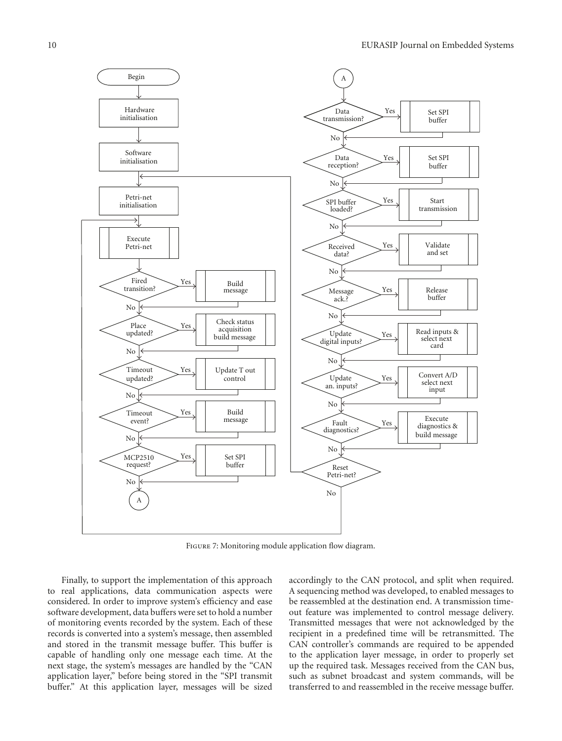

Figure 7: Monitoring module application flow diagram.

Finally, to support the implementation of this approach to real applications, data communication aspects were considered. In order to improve system's efficiency and ease software development, data buffers were set to hold a number of monitoring events recorded by the system. Each of these records is converted into a system's message, then assembled and stored in the transmit message buffer. This buffer is capable of handling only one message each time. At the next stage, the system's messages are handled by the "CAN application layer," before being stored in the "SPI transmit buffer." At this application layer, messages will be sized

accordingly to the CAN protocol, and split when required. A sequencing method was developed, to enabled messages to be reassembled at the destination end. A transmission timeout feature was implemented to control message delivery. Transmitted messages that were not acknowledged by the recipient in a predefined time will be retransmitted. The CAN controller's commands are required to be appended to the application layer message, in order to properly set up the required task. Messages received from the CAN bus, such as subnet broadcast and system commands, will be transferred to and reassembled in the receive message buffer.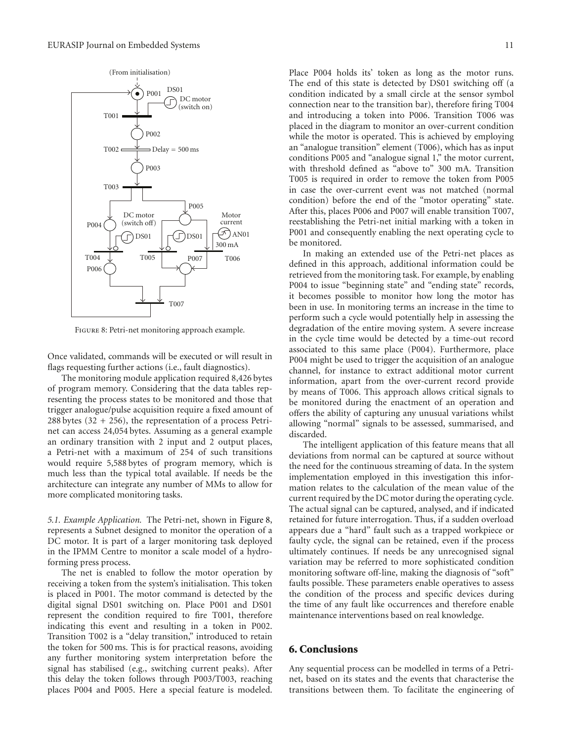

Figure 8: Petri-net monitoring approach example.

Once validated, commands will be executed or will result in flags requesting further actions (i.e., fault diagnostics).

The monitoring module application required 8,426 bytes of program memory. Considering that the data tables representing the process states to be monitored and those that trigger analogue/pulse acquisition require a fixed amount of 288 bytes  $(32 + 256)$ , the representation of a process Petrinet can access 24,054 bytes. Assuming as a general example an ordinary transition with 2 input and 2 output places, a Petri-net with a maximum of 254 of such transitions would require 5,588 bytes of program memory, which is much less than the typical total available. If needs be the architecture can integrate any number of MMs to allow for more complicated monitoring tasks.

*5.1. Example Application.* The Petri-net, shown in Figure 8, represents a Subnet designed to monitor the operation of a DC motor. It is part of a larger monitoring task deployed in the IPMM Centre to monitor a scale model of a hydroforming press process.

The net is enabled to follow the motor operation by receiving a token from the system's initialisation. This token is placed in P001. The motor command is detected by the digital signal DS01 switching on. Place P001 and DS01 represent the condition required to fire T001, therefore indicating this event and resulting in a token in P002. Transition T002 is a "delay transition," introduced to retain the token for 500 ms. This is for practical reasons, avoiding any further monitoring system interpretation before the signal has stabilised (e.g., switching current peaks). After this delay the token follows through P003/T003, reaching places P004 and P005. Here a special feature is modeled.

Place P004 holds its' token as long as the motor runs. The end of this state is detected by DS01 switching off (a condition indicated by a small circle at the sensor symbol connection near to the transition bar), therefore firing T004 and introducing a token into P006. Transition T006 was placed in the diagram to monitor an over-current condition while the motor is operated. This is achieved by employing an "analogue transition" element (T006), which has as input conditions P005 and "analogue signal 1," the motor current, with threshold defined as "above to" 300 mA. Transition T005 is required in order to remove the token from P005 in case the over-current event was not matched (normal condition) before the end of the "motor operating" state. After this, places P006 and P007 will enable transition T007, reestablishing the Petri-net initial marking with a token in P001 and consequently enabling the next operating cycle to be monitored.

In making an extended use of the Petri-net places as defined in this approach, additional information could be retrieved from the monitoring task. For example, by enabling P004 to issue "beginning state" and "ending state" records, it becomes possible to monitor how long the motor has been in use. In monitoring terms an increase in the time to perform such a cycle would potentially help in assessing the degradation of the entire moving system. A severe increase in the cycle time would be detected by a time-out record associated to this same place (P004). Furthermore, place P004 might be used to trigger the acquisition of an analogue channel, for instance to extract additional motor current information, apart from the over-current record provide by means of T006. This approach allows critical signals to be monitored during the enactment of an operation and offers the ability of capturing any unusual variations whilst allowing "normal" signals to be assessed, summarised, and discarded.

The intelligent application of this feature means that all deviations from normal can be captured at source without the need for the continuous streaming of data. In the system implementation employed in this investigation this information relates to the calculation of the mean value of the current required by the DC motor during the operating cycle. The actual signal can be captured, analysed, and if indicated retained for future interrogation. Thus, if a sudden overload appears due a "hard" fault such as a trapped workpiece or faulty cycle, the signal can be retained, even if the process ultimately continues. If needs be any unrecognised signal variation may be referred to more sophisticated condition monitoring software off-line, making the diagnosis of "soft" faults possible. These parameters enable operatives to assess the condition of the process and specific devices during the time of any fault like occurrences and therefore enable maintenance interventions based on real knowledge.

#### **6. Conclusions**

Any sequential process can be modelled in terms of a Petrinet, based on its states and the events that characterise the transitions between them. To facilitate the engineering of